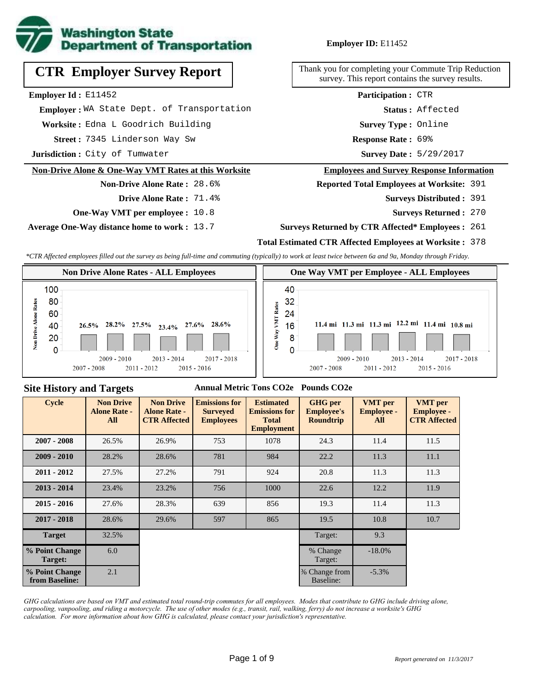

# **CTR Employer Survey Report**

**Employer Id :** E11452

 **Employer :** WA State Dept. of Transportation

**Worksite :** Edna L Goodrich Building

7345 Linderson Way Sw **Response Rate : Street :**

**Jurisdiction :** City of Tumwater

#### **Non-Drive Alone & One-Way VMT Rates at this Worksite**

# **Non-Drive Alone Rate :** 28.6%

**Drive Alone Rate :** 71.4%

**One-Way VMT per employee :** 10.8

**Average One-Way distance home to work :** 13.7

## **Employer ID:** E11452

Thank you for completing your Commute Trip Reduction survey. This report contains the survey results.

> **Status :** Affected **Participation :** CTR

**Survey Type :** Online

Response Rate: 69%

Survey Date: 5/29/2017

#### **Employees and Survey Response Information**

**Reported Total Employees at Worksite:** 391

- 391 **Surveys Distributed :**
	- **Surveys Returned :** 270

#### **Surveys Returned by CTR Affected\* Employees :** 261

## **Total Estimated CTR Affected Employees at Worksite :** 378

*\*CTR Affected employees filled out the survey as being full-time and commuting (typically) to work at least twice between 6a and 9a, Monday through Friday.*



#### **Site History and Targets**

#### **Annual Metric Tons CO2e Pounds CO2e**

| Cycle                            | <b>Non Drive</b><br><b>Alone Rate -</b><br>All | <b>Non Drive</b><br><b>Alone Rate -</b><br><b>CTR Affected</b> | <b>Emissions for</b><br><b>Surveyed</b><br><b>Employees</b> | <b>Estimated</b><br><b>Emissions for</b><br><b>Total</b><br><b>Employment</b> | <b>GHG</b> per<br><b>Employee's</b><br><b>Roundtrip</b> | <b>VMT</b> per<br><b>Employee -</b><br>All | <b>VMT</b> per<br><b>Employee -</b><br><b>CTR Affected</b> |
|----------------------------------|------------------------------------------------|----------------------------------------------------------------|-------------------------------------------------------------|-------------------------------------------------------------------------------|---------------------------------------------------------|--------------------------------------------|------------------------------------------------------------|
| $2007 - 2008$                    | 26.5%                                          | 26.9%                                                          | 753                                                         | 1078                                                                          | 24.3                                                    | 11.4                                       | 11.5                                                       |
| $2009 - 2010$                    | 28.2%                                          | 28.6%                                                          | 781                                                         | 984                                                                           | 22.2                                                    | 11.3                                       | 11.1                                                       |
| $2011 - 2012$                    | 27.5%                                          | 27.2%                                                          | 791                                                         | 924                                                                           | 20.8                                                    | 11.3                                       | 11.3                                                       |
| $2013 - 2014$                    | 23.4%                                          | 23.2%                                                          | 756                                                         | 1000                                                                          | 22.6                                                    | 12.2                                       | 11.9                                                       |
| $2015 - 2016$                    | 27.6%                                          | 28.3%                                                          | 639                                                         | 856                                                                           | 19.3                                                    | 11.4                                       | 11.3                                                       |
| $2017 - 2018$                    | 28.6%                                          | 29.6%                                                          | 597                                                         | 865                                                                           | 19.5                                                    | 10.8                                       | 10.7                                                       |
| <b>Target</b>                    | 32.5%                                          |                                                                |                                                             |                                                                               | Target:                                                 | 9.3                                        |                                                            |
| % Point Change<br>Target:        | 6.0                                            |                                                                |                                                             |                                                                               | % Change<br>Target:                                     | $-18.0\%$                                  |                                                            |
| % Point Change<br>from Baseline: | 2.1                                            |                                                                |                                                             |                                                                               | % Change from<br>Baseline:                              | $-5.3\%$                                   |                                                            |

*GHG calculations are based on VMT and estimated total round-trip commutes for all employees. Modes that contribute to GHG include driving alone, carpooling, vanpooling, and riding a motorcycle. The use of other modes (e.g., transit, rail, walking, ferry) do not increase a worksite's GHG calculation. For more information about how GHG is calculated, please contact your jurisdiction's representative.*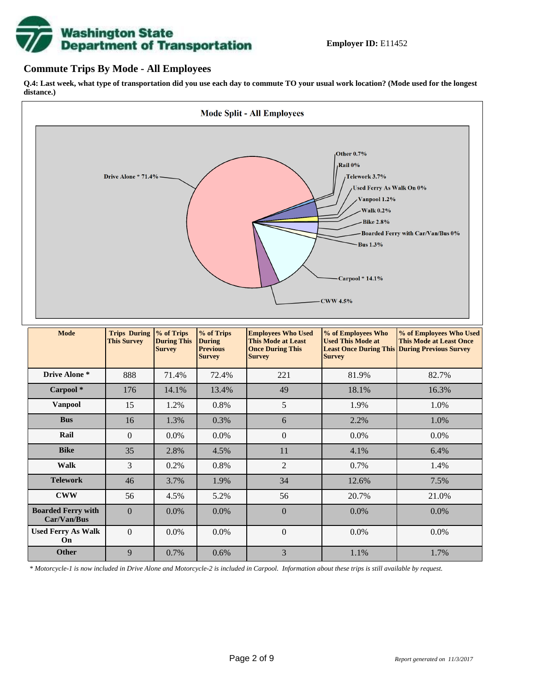# **Washington State<br>Department of Transportation**

## **Commute Trips By Mode - All Employees**

**Q.4: Last week, what type of transportation did you use each day to commute TO your usual work location? (Mode used for the longest distance.)**



| <b>Mode</b>                              | <b>Trips During</b><br><b>This Survey</b> | % of Trips<br><b>During This</b><br><b>Survey</b> | % of Trips<br><b>During</b><br><b>Previous</b><br><b>Survey</b> | <b>Employees Who Used</b><br><b>This Mode at Least</b><br><b>Once During This</b><br><b>Survey</b> | % of Employees Who<br><b>Used This Mode at</b><br><b>Survey</b> | % of Employees Who Used<br><b>This Mode at Least Once</b><br><b>Least Once During This During Previous Survey</b> |
|------------------------------------------|-------------------------------------------|---------------------------------------------------|-----------------------------------------------------------------|----------------------------------------------------------------------------------------------------|-----------------------------------------------------------------|-------------------------------------------------------------------------------------------------------------------|
| Drive Alone *                            | 888                                       | 71.4%                                             | 72.4%                                                           | 221                                                                                                | 81.9%                                                           | 82.7%                                                                                                             |
| Carpool*                                 | 176                                       | 14.1%                                             | 13.4%                                                           | 49                                                                                                 | 18.1%                                                           | 16.3%                                                                                                             |
| <b>Vanpool</b>                           | 15                                        | 1.2%                                              | 0.8%                                                            | 5                                                                                                  | 1.9%                                                            | 1.0%                                                                                                              |
| <b>Bus</b>                               | 16                                        | 1.3%                                              | 0.3%                                                            | 6                                                                                                  | 2.2%                                                            | 1.0%                                                                                                              |
| Rail                                     | $\Omega$                                  | $0.0\%$                                           | $0.0\%$                                                         | $\overline{0}$                                                                                     | $0.0\%$                                                         | $0.0\%$                                                                                                           |
| <b>Bike</b>                              | 35                                        | 2.8%                                              | 4.5%                                                            | 11                                                                                                 | 4.1%                                                            | 6.4%                                                                                                              |
| <b>Walk</b>                              | 3                                         | 0.2%                                              | 0.8%                                                            | 2                                                                                                  | 0.7%                                                            | 1.4%                                                                                                              |
| <b>Telework</b>                          | 46                                        | 3.7%                                              | 1.9%                                                            | 34                                                                                                 | 12.6%                                                           | 7.5%                                                                                                              |
| <b>CWW</b>                               | 56                                        | 4.5%                                              | 5.2%                                                            | 56                                                                                                 | 20.7%                                                           | 21.0%                                                                                                             |
| <b>Boarded Ferry with</b><br>Car/Van/Bus | $\Omega$                                  | 0.0%                                              | 0.0%                                                            | $\boldsymbol{0}$                                                                                   | 0.0%                                                            | 0.0%                                                                                                              |
| <b>Used Ferry As Walk</b><br>On          | $\Omega$                                  | 0.0%                                              | $0.0\%$                                                         | $\boldsymbol{0}$                                                                                   | 0.0%                                                            | 0.0%                                                                                                              |
| <b>Other</b>                             | 9                                         | 0.7%                                              | 0.6%                                                            | 3                                                                                                  | 1.1%                                                            | 1.7%                                                                                                              |

*\* Motorcycle-1 is now included in Drive Alone and Motorcycle-2 is included in Carpool. Information about these trips is still available by request.*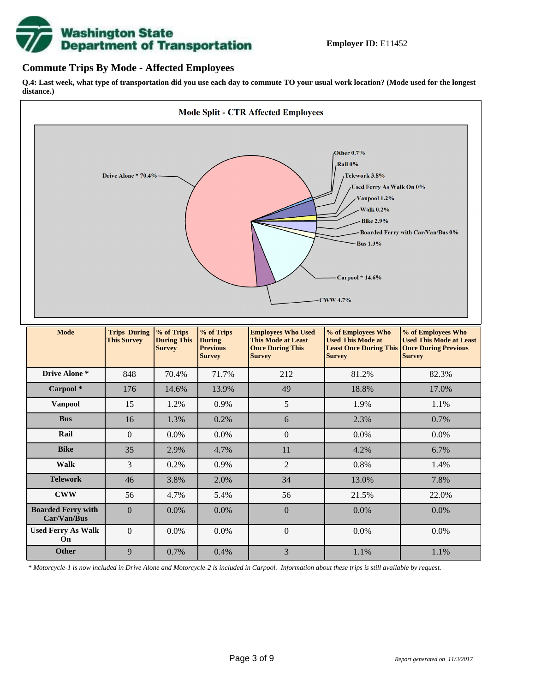

## **Commute Trips By Mode - Affected Employees**

**Used Ferry As Walk On**

**Q.4: Last week, what type of transportation did you use each day to commute TO your usual work location? (Mode used for the longest distance.)**



*\* Motorcycle-1 is now included in Drive Alone and Motorcycle-2 is included in Carpool. Information about these trips is still available by request.*

**Other** 9 0.7% 0.4% 3 1.1% 1.1% 1.1%

 $0 \t 0.0\% \t 0.0\% \t 0.0\% \t 0.0\% \t 0.00\%$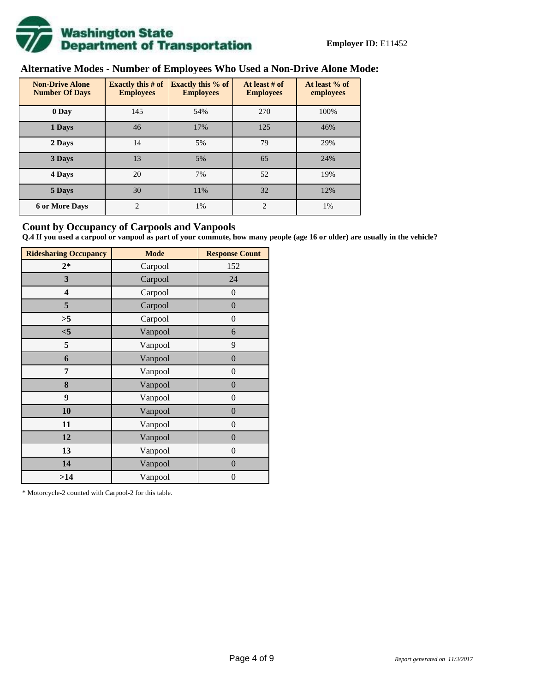

## **Alternative Modes - Number of Employees Who Used a Non-Drive Alone Mode:**

| <b>Non-Drive Alone</b><br><b>Number Of Days</b> | Exactly this $#$ of<br><b>Employees</b> | Exactly this % of<br><b>Employees</b> | At least # of<br><b>Employees</b> | At least % of<br>employees |
|-------------------------------------------------|-----------------------------------------|---------------------------------------|-----------------------------------|----------------------------|
| 0 Day                                           | 145                                     | 54%                                   | 270                               | 100%                       |
| 1 Days                                          | 46                                      | 17%                                   | 125                               | 46%                        |
| 2 Days                                          | 14                                      | 5%                                    | 79                                | 29%                        |
| 3 Days                                          | 13                                      | 5%                                    | 65                                | 24%                        |
| 4 Days                                          | 20                                      | 7%                                    | 52                                | 19%                        |
| 5 Days                                          | 30                                      | 11%                                   | 32                                | 12%                        |
| <b>6 or More Days</b>                           | $\overline{2}$                          | 1%                                    | 2                                 | 1%                         |

## **Count by Occupancy of Carpools and Vanpools**

**Q.4 If you used a carpool or vanpool as part of your commute, how many people (age 16 or older) are usually in the vehicle?**

| <b>Ridesharing Occupancy</b> | <b>Mode</b> | <b>Response Count</b> |
|------------------------------|-------------|-----------------------|
| $2*$                         | Carpool     | 152                   |
| 3                            | Carpool     | 24                    |
| 4                            | Carpool     | $\boldsymbol{0}$      |
| 5                            | Carpool     | $\boldsymbol{0}$      |
| >5                           | Carpool     | $\overline{0}$        |
| $<$ 5                        | Vanpool     | 6                     |
| 5                            | Vanpool     | 9                     |
| 6                            | Vanpool     | $\boldsymbol{0}$      |
| 7                            | Vanpool     | $\boldsymbol{0}$      |
| 8                            | Vanpool     | $\boldsymbol{0}$      |
| 9                            | Vanpool     | $\boldsymbol{0}$      |
| 10                           | Vanpool     | $\overline{0}$        |
| 11                           | Vanpool     | $\overline{0}$        |
| 12                           | Vanpool     | $\boldsymbol{0}$      |
| 13                           | Vanpool     | $\boldsymbol{0}$      |
| 14                           | Vanpool     | $\overline{0}$        |
| >14                          | Vanpool     | $\boldsymbol{0}$      |

\* Motorcycle-2 counted with Carpool-2 for this table.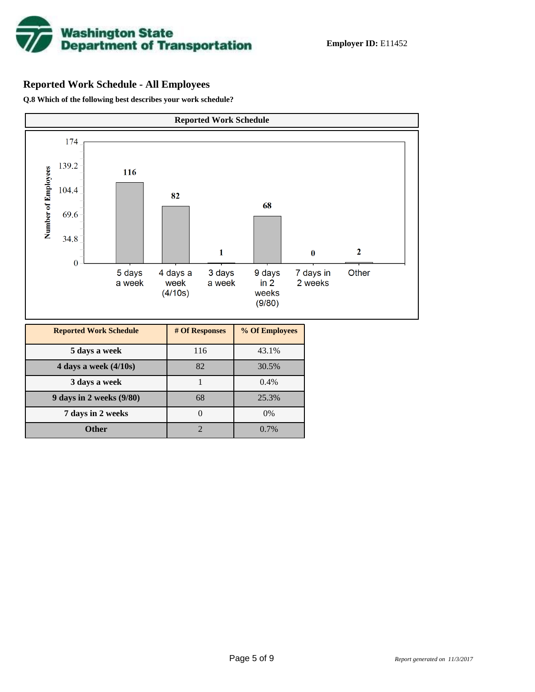

## **Reported Work Schedule - All Employees**

**Q.8 Which of the following best describes your work schedule?**

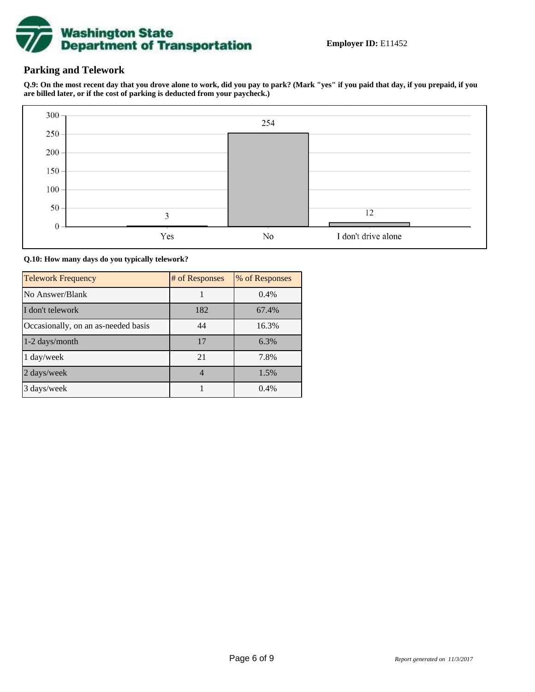

## **Parking and Telework**

**Q.9: On the most recent day that you drove alone to work, did you pay to park? (Mark "yes" if you paid that day, if you prepaid, if you are billed later, or if the cost of parking is deducted from your paycheck.)**



**Q.10: How many days do you typically telework?**

| <b>Telework Frequency</b>           | # of Responses | % of Responses |
|-------------------------------------|----------------|----------------|
| No Answer/Blank                     |                | 0.4%           |
| I don't telework                    | 182            | 67.4%          |
| Occasionally, on an as-needed basis | 44             | 16.3%          |
| $1-2$ days/month                    | 17             | 6.3%           |
| $1 \text{ day/week}$                | 21             | 7.8%           |
| 2 days/week                         | $\overline{4}$ | 1.5%           |
| 3 days/week                         |                | 0.4%           |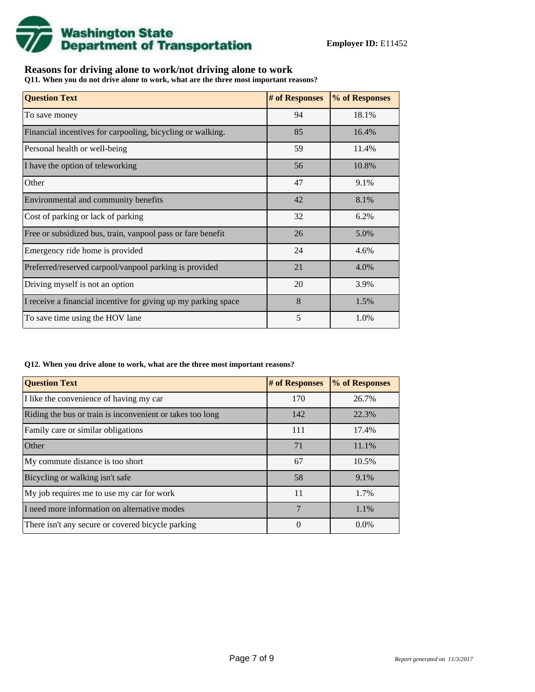

## **Reasons for driving alone to work/not driving alone to work**

**Q11. When you do not drive alone to work, what are the three most important reasons?**

| <b>Question Text</b>                                           | # of Responses | % of Responses |
|----------------------------------------------------------------|----------------|----------------|
| To save money                                                  | 94             | 18.1%          |
| Financial incentives for carpooling, bicycling or walking.     | 85             | 16.4%          |
| Personal health or well-being                                  | 59             | 11.4%          |
| I have the option of teleworking                               | 56             | 10.8%          |
| Other                                                          | 47             | 9.1%           |
| Environmental and community benefits                           | 42             | 8.1%           |
| Cost of parking or lack of parking                             | 32             | 6.2%           |
| Free or subsidized bus, train, vanpool pass or fare benefit    | 26             | 5.0%           |
| Emergency ride home is provided                                | 24             | 4.6%           |
| Preferred/reserved carpool/vanpool parking is provided         | 21             | 4.0%           |
| Driving myself is not an option                                | 20             | 3.9%           |
| I receive a financial incentive for giving up my parking space | 8              | 1.5%           |
| To save time using the HOV lane                                | 5              | 1.0%           |

#### **Q12. When you drive alone to work, what are the three most important reasons?**

| <b>Question Text</b>                                      | # of Responses | % of Responses |
|-----------------------------------------------------------|----------------|----------------|
| I like the convenience of having my car                   | 170            | 26.7%          |
| Riding the bus or train is inconvenient or takes too long | 142            | 22.3%          |
| Family care or similar obligations                        | 111            | 17.4%          |
| Other                                                     | 71             | 11.1%          |
| My commute distance is too short                          | 67             | 10.5%          |
| Bicycling or walking isn't safe                           | 58             | 9.1%           |
| My job requires me to use my car for work                 | 11             | 1.7%           |
| I need more information on alternative modes              | 7              | 1.1%           |
| There isn't any secure or covered bicycle parking         | $\theta$       | $0.0\%$        |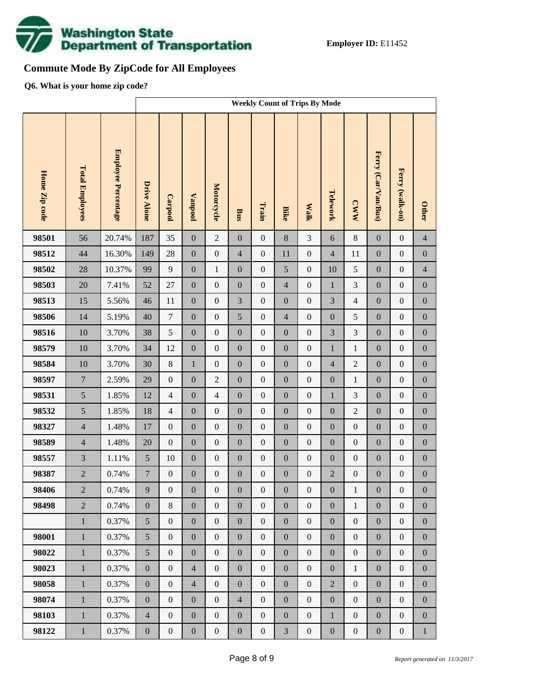

## **Commute Mode By ZipCode for All Employees**

**Q6. What is your home zip code?**

|               |                        |                            | <b>Weekly Count of Trips By Mode</b> |                  |                  |                  |                  |                  |                  |                  |                  |                  |                     |                  |                  |
|---------------|------------------------|----------------------------|--------------------------------------|------------------|------------------|------------------|------------------|------------------|------------------|------------------|------------------|------------------|---------------------|------------------|------------------|
| Home Zip code | <b>Total Employees</b> | <b>Employee Percentage</b> | <b>Drive Alone</b>                   | Carpool          | <b>Vanpool</b>   | Motorcycle       | Bus              | Train            | <b>Bike</b>      | <b>Walk</b>      | Telework         | <b>CWW</b>       | Ferry (Car/Van/Bus) | Ferry (walk-on)  | <b>Other</b>     |
| 98501         | 56                     | 20.74%                     | 187                                  | 35               | $\boldsymbol{0}$ | $\overline{2}$   | $\boldsymbol{0}$ | $\boldsymbol{0}$ | 8                | $\overline{3}$   | 6                | $8\,$            | $\mathbf{0}$        | $\boldsymbol{0}$ | $\overline{4}$   |
| 98512         | 44                     | 16.30%                     | 149                                  | 28               | $\boldsymbol{0}$ | $\boldsymbol{0}$ | $\overline{4}$   | $\boldsymbol{0}$ | 11               | $\boldsymbol{0}$ | $\overline{4}$   | 11               | $\boldsymbol{0}$    | $\boldsymbol{0}$ | $\boldsymbol{0}$ |
| 98502         | 28                     | 10.37%                     | 99                                   | 9                | $\boldsymbol{0}$ | $\mathbf{1}$     | $\boldsymbol{0}$ | $\boldsymbol{0}$ | 5                | $\boldsymbol{0}$ | 10               | 5                | $\boldsymbol{0}$    | $\boldsymbol{0}$ | $\overline{4}$   |
| 98503         | 20                     | 7.41%                      | 52                                   | 27               | $\boldsymbol{0}$ | $\boldsymbol{0}$ | $\boldsymbol{0}$ | $\boldsymbol{0}$ | $\overline{4}$   | $\boldsymbol{0}$ | $\mathbf{1}$     | 3                | $\boldsymbol{0}$    | $\boldsymbol{0}$ | $\boldsymbol{0}$ |
| 98513         | 15                     | 5.56%                      | 46                                   | 11               | $\boldsymbol{0}$ | $\boldsymbol{0}$ | 3                | $\boldsymbol{0}$ | $\boldsymbol{0}$ | $\boldsymbol{0}$ | 3                | $\overline{4}$   | $\boldsymbol{0}$    | $\boldsymbol{0}$ | $\boldsymbol{0}$ |
| 98506         | 14                     | 5.19%                      | 40                                   | $\boldsymbol{7}$ | $\boldsymbol{0}$ | $\boldsymbol{0}$ | 5                | $\boldsymbol{0}$ | $\overline{4}$   | $\boldsymbol{0}$ | $\boldsymbol{0}$ | 5                | $\boldsymbol{0}$    | $\boldsymbol{0}$ | $\boldsymbol{0}$ |
| 98516         | 10                     | 3.70%                      | 38                                   | 5                | $\boldsymbol{0}$ | $\boldsymbol{0}$ | $\boldsymbol{0}$ | $\boldsymbol{0}$ | $\boldsymbol{0}$ | $\boldsymbol{0}$ | 3                | $\mathfrak{Z}$   | $\boldsymbol{0}$    | $\boldsymbol{0}$ | $\boldsymbol{0}$ |
| 98579         | 10                     | 3.70%                      | 34                                   | 12               | $\boldsymbol{0}$ | $\boldsymbol{0}$ | $\boldsymbol{0}$ | $\boldsymbol{0}$ | $\overline{0}$   | $\boldsymbol{0}$ | $\mathbf{1}$     | $\mathbf{1}$     | $\boldsymbol{0}$    | $\boldsymbol{0}$ | $\boldsymbol{0}$ |
| 98584         | 10                     | 3.70%                      | 30                                   | $\,8\,$          | $\mathbf{1}$     | $\boldsymbol{0}$ | $\boldsymbol{0}$ | $\boldsymbol{0}$ | $\boldsymbol{0}$ | $\boldsymbol{0}$ | $\overline{4}$   | $\sqrt{2}$       | $\boldsymbol{0}$    | $\boldsymbol{0}$ | $\boldsymbol{0}$ |
| 98597         | $\overline{7}$         | 2.59%                      | 29                                   | $\boldsymbol{0}$ | $\boldsymbol{0}$ | $\overline{2}$   | $\boldsymbol{0}$ | $\boldsymbol{0}$ | $\overline{0}$   | $\boldsymbol{0}$ | $\boldsymbol{0}$ | $\mathbf{1}$     | $\boldsymbol{0}$    | $\boldsymbol{0}$ | $\boldsymbol{0}$ |
| 98531         | 5                      | 1.85%                      | 12                                   | $\overline{4}$   | $\boldsymbol{0}$ | $\overline{4}$   | $\boldsymbol{0}$ | $\boldsymbol{0}$ | $\boldsymbol{0}$ | $\boldsymbol{0}$ | $\mathbf{1}$     | $\mathfrak{Z}$   | $\boldsymbol{0}$    | $\boldsymbol{0}$ | $\boldsymbol{0}$ |
| 98532         | 5                      | 1.85%                      | 18                                   | $\overline{4}$   | $\boldsymbol{0}$ | $\boldsymbol{0}$ | $\boldsymbol{0}$ | $\boldsymbol{0}$ | $\overline{0}$   | $\boldsymbol{0}$ | $\boldsymbol{0}$ | $\overline{2}$   | $\boldsymbol{0}$    | $\boldsymbol{0}$ | $\boldsymbol{0}$ |
| 98327         | $\overline{4}$         | 1.48%                      | 17                                   | $\boldsymbol{0}$ | $\boldsymbol{0}$ | $\boldsymbol{0}$ | $\boldsymbol{0}$ | $\boldsymbol{0}$ | $\boldsymbol{0}$ | $\boldsymbol{0}$ | $\boldsymbol{0}$ | $\boldsymbol{0}$ | $\boldsymbol{0}$    | $\boldsymbol{0}$ | $\boldsymbol{0}$ |
| 98589         | $\overline{4}$         | 1.48%                      | 20                                   | $\boldsymbol{0}$ | $\boldsymbol{0}$ | $\boldsymbol{0}$ | $\boldsymbol{0}$ | $\boldsymbol{0}$ | $\overline{0}$   | $\boldsymbol{0}$ | $\boldsymbol{0}$ | $\boldsymbol{0}$ | $\boldsymbol{0}$    | $\boldsymbol{0}$ | $\boldsymbol{0}$ |
| 98557         | 3                      | 1.11%                      | 5                                    | 10               | $\boldsymbol{0}$ | $\boldsymbol{0}$ | $\boldsymbol{0}$ | $\boldsymbol{0}$ | $\boldsymbol{0}$ | $\boldsymbol{0}$ | $\boldsymbol{0}$ | $\boldsymbol{0}$ | $\boldsymbol{0}$    | $\boldsymbol{0}$ | $\boldsymbol{0}$ |
| 98387         | $\overline{2}$         | 0.74%                      | $\boldsymbol{7}$                     | $\boldsymbol{0}$ | $\boldsymbol{0}$ | $\boldsymbol{0}$ | $\boldsymbol{0}$ | $\boldsymbol{0}$ | $\mathbf{0}$     | $\boldsymbol{0}$ | $\overline{2}$   | $\boldsymbol{0}$ | $\boldsymbol{0}$    | $\boldsymbol{0}$ | $\boldsymbol{0}$ |
| 98406         | $\overline{2}$         | 0.74%                      | 9                                    | $\boldsymbol{0}$ | $\boldsymbol{0}$ | $\boldsymbol{0}$ | $\boldsymbol{0}$ | $\boldsymbol{0}$ | $\boldsymbol{0}$ | $\boldsymbol{0}$ | $\boldsymbol{0}$ | $\mathbf{1}$     | $\boldsymbol{0}$    | $\boldsymbol{0}$ | $\boldsymbol{0}$ |
| 98498         | $\overline{2}$         | 0.74%                      | $\boldsymbol{0}$                     | $8\,$            | $\boldsymbol{0}$ | $\boldsymbol{0}$ | $\boldsymbol{0}$ | $\boldsymbol{0}$ | $\overline{0}$   | $\boldsymbol{0}$ | $\boldsymbol{0}$ | $\,1$            | $\boldsymbol{0}$    | $\boldsymbol{0}$ | $\overline{0}$   |
|               | $\mathbf{1}$           | 0.37%                      | 5                                    | $\boldsymbol{0}$ | $\boldsymbol{0}$ | $\boldsymbol{0}$ | $\boldsymbol{0}$ | $\boldsymbol{0}$ | $\boldsymbol{0}$ | $\boldsymbol{0}$ | $\boldsymbol{0}$ | $\boldsymbol{0}$ | $\boldsymbol{0}$    | $\boldsymbol{0}$ | $\boldsymbol{0}$ |
| 98001         | $\mathbf{1}$           | 0.37%                      | 5                                    | $\boldsymbol{0}$ | $\boldsymbol{0}$ | $\boldsymbol{0}$ | $\boldsymbol{0}$ | $\boldsymbol{0}$ | $\boldsymbol{0}$ | $\boldsymbol{0}$ | $\boldsymbol{0}$ | $\boldsymbol{0}$ | $\boldsymbol{0}$    | $\boldsymbol{0}$ | $\boldsymbol{0}$ |
| 98022         | $\mathbf{1}$           | 0.37%                      | 5                                    | $\boldsymbol{0}$ | $\boldsymbol{0}$ | $\boldsymbol{0}$ | $\boldsymbol{0}$ | $\boldsymbol{0}$ | $\overline{0}$   | $\boldsymbol{0}$ | $\boldsymbol{0}$ | $\boldsymbol{0}$ | $\boldsymbol{0}$    | $\boldsymbol{0}$ | $\boldsymbol{0}$ |
| 98023         | $\mathbf{1}$           | 0.37%                      | $\boldsymbol{0}$                     | $\boldsymbol{0}$ | $\overline{4}$   | $\boldsymbol{0}$ | $\boldsymbol{0}$ | $\boldsymbol{0}$ | $\boldsymbol{0}$ | $\boldsymbol{0}$ | $\boldsymbol{0}$ | $\mathbf{1}$     | $\boldsymbol{0}$    | $\boldsymbol{0}$ | $\boldsymbol{0}$ |
| 98058         | $\mathbf{1}$           | 0.37%                      | $\boldsymbol{0}$                     | $\boldsymbol{0}$ | $\overline{4}$   | $\overline{0}$   | $\boldsymbol{0}$ | $\boldsymbol{0}$ | $\overline{0}$   | $\boldsymbol{0}$ | $\overline{2}$   | $\boldsymbol{0}$ | $\boldsymbol{0}$    | $\boldsymbol{0}$ | $\boldsymbol{0}$ |
| 98074         | $\mathbf{1}$           | 0.37%                      | $\boldsymbol{0}$                     | $\boldsymbol{0}$ | $\boldsymbol{0}$ | $\boldsymbol{0}$ | $\overline{4}$   | $\boldsymbol{0}$ | $\boldsymbol{0}$ | $\boldsymbol{0}$ | $\boldsymbol{0}$ | $\boldsymbol{0}$ | $\boldsymbol{0}$    | $\boldsymbol{0}$ | $\boldsymbol{0}$ |
| 98103         | $\mathbf{1}$           | 0.37%                      | $\overline{4}$                       | $\boldsymbol{0}$ | $\boldsymbol{0}$ | $\boldsymbol{0}$ | $\boldsymbol{0}$ | $\boldsymbol{0}$ | $\overline{0}$   | $\boldsymbol{0}$ | $\mathbf{1}$     | $\boldsymbol{0}$ | $\boldsymbol{0}$    | $\boldsymbol{0}$ | $\boldsymbol{0}$ |
| 98122         | $1\,$                  | 0.37%                      | $\boldsymbol{0}$                     | $\boldsymbol{0}$ | $\boldsymbol{0}$ | $\boldsymbol{0}$ | $\boldsymbol{0}$ | $\boldsymbol{0}$ | $\overline{3}$   | $\boldsymbol{0}$ | $\boldsymbol{0}$ | $\boldsymbol{0}$ | $\boldsymbol{0}$    | $\boldsymbol{0}$ | $\mathbf{1}$     |